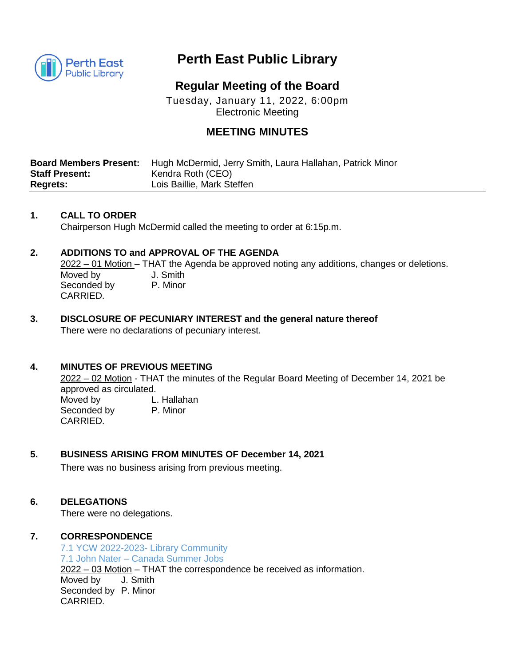

# **Perth East Public Library**

## **Regular Meeting of the Board**

Tuesday, January 11, 2022, 6:00pm Electronic Meeting

### **MEETING MINUTES**

|                       | <b>Board Members Present:</b> Hugh McDermid, Jerry Smith, Laura Hallahan, Patrick Minor |
|-----------------------|-----------------------------------------------------------------------------------------|
| <b>Staff Present:</b> | Kendra Roth (CEO)                                                                       |
| <b>Regrets:</b>       | Lois Baillie, Mark Steffen                                                              |

#### **1. CALL TO ORDER**

Chairperson Hugh McDermid called the meeting to order at 6:15p.m.

#### **2. ADDITIONS TO and APPROVAL OF THE AGENDA**

2022 – 01 Motion – THAT the Agenda be approved noting any additions, changes or deletions. Moved by **J. Smith** Seconded by P. Minor CARRIED.

#### **3. DISCLOSURE OF PECUNIARY INTEREST and the general nature thereof** There were no declarations of pecuniary interest.

#### **4. MINUTES OF PREVIOUS MEETING**

2022 – 02 Motion - THAT the minutes of the Regular Board Meeting of December 14, 2021 be approved as circulated. Moved by L. Hallahan

Seconded by P. Minor CARRIED.

#### **5. BUSINESS ARISING FROM MINUTES OF December 14, 2021**

There was no business arising from previous meeting.

#### **6. DELEGATIONS**

There were no delegations.

#### **7. CORRESPONDENCE**

7.1 YCW 2022-2023- Library Community 7.1 John Nater – Canada Summer Jobs 2022 – 03 Motion – THAT the correspondence be received as information. Moved by J. Smith Seconded by P. Minor CARRIED.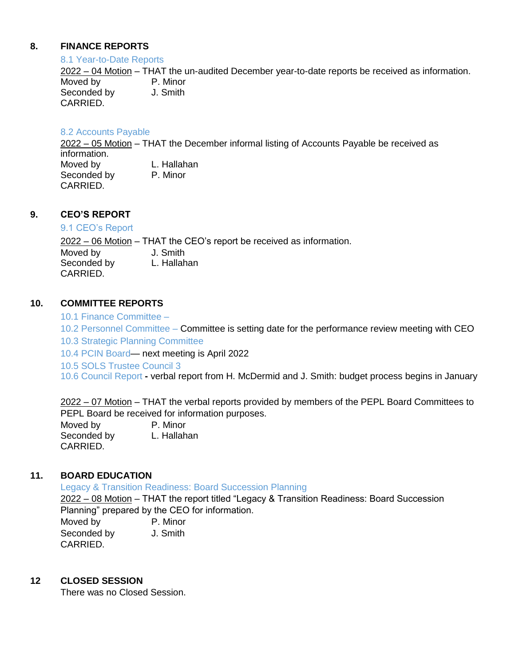#### **8. FINANCE REPORTS**

#### 8.1 Year-to-Date Reports

2022 – 04 Motion – THAT the un-audited December year-to-date reports be received as information. Moved by **P. Minor** Seconded by J. Smith CARRIED.

#### 8.2 Accounts Payable

2022 – 05 Motion – THAT the December informal listing of Accounts Payable be received as information. Moved by **L. Hallahan** Seconded by P. Minor CARRIED.

#### **9. CEO'S REPORT**

#### 9.1 CEO's Report

2022 – 06 Motion – THAT the CEO's report be received as information. Moved by **J. Smith** Seconded by L. Hallahan CARRIED.

#### **10. COMMITTEE REPORTS**

10.1 Finance Committee –

10.2 Personnel Committee – Committee is setting date for the performance review meeting with CEO 10.3 Strategic Planning Committee

10.4 PCIN Board— next meeting is April 2022

10.5 SOLS Trustee Council 3

10.6 Council Report **-** verbal report from H. McDermid and J. Smith: budget process begins in January

2022 – 07 Motion – THAT the verbal reports provided by members of the PEPL Board Committees to PEPL Board be received for information purposes.

Moved by P. Minor Seconded by L. Hallahan CARRIED.

#### **11. BOARD EDUCATION**

Legacy & Transition Readiness: Board Succession Planning

2022 – 08 Motion – THAT the report titled "Legacy & Transition Readiness: Board Succession Planning" prepared by the CEO for information. Moved by P. Minor Seconded by J. Smith CARRIED.

#### **12 CLOSED SESSION**

There was no Closed Session.